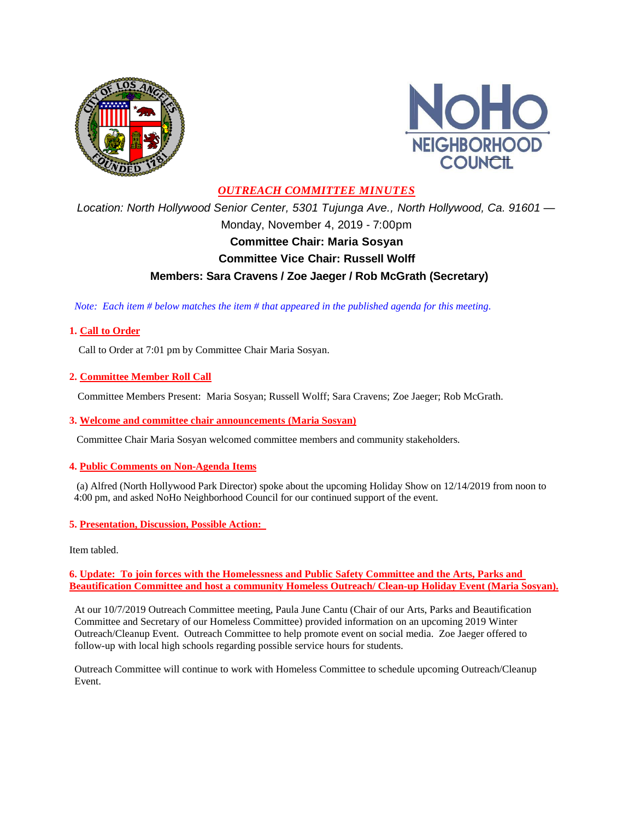



## *OUTREACH COMMITTEE MINUTES*

*Location: North Hollywood Senior Center, 5301 Tujunga Ave., North Hollywood, Ca. 91601 —* Monday, November 4, 2019 - 7:00pm **Committee Chair: Maria Sosyan Committee Vice Chair: Russell Wolff Members: Sara Cravens / Zoe Jaeger / Rob McGrath (Secretary)**

 *Note: Each item # below matches the item # that appeared in the published agenda for this meeting.*

## **1. Call to Order**

Call to Order at 7:01 pm by Committee Chair Maria Sosyan.

**2. Committee Member Roll Call**

Committee Members Present: Maria Sosyan; Russell Wolff; Sara Cravens; Zoe Jaeger; Rob McGrath.

### **3. Welcome and committee chair announcements (Maria Sosyan)**

Committee Chair Maria Sosyan welcomed committee members and community stakeholders.

## **4. Public Comments on Non-Agenda Items**

(a) Alfred (North Hollywood Park Director) spoke about the upcoming Holiday Show on 12/14/2019 from noon to 4:00 pm, and asked NoHo Neighborhood Council for our continued support of the event.

### **5. Presentation, Discussion, Possible Action:**

Item tabled.

**6. Update: To join forces with the Homelessness and Public Safety Committee and the Arts, Parks and Beautification Committee and host a community Homeless Outreach/ Clean-up Holiday Event (Maria Sosyan).**

At our 10/7/2019 Outreach Committee meeting, Paula June Cantu (Chair of our Arts, Parks and Beautification Committee and Secretary of our Homeless Committee) provided information on an upcoming 2019 Winter Outreach/Cleanup Event. Outreach Committee to help promote event on social media. Zoe Jaeger offered to follow-up with local high schools regarding possible service hours for students.

Outreach Committee will continue to work with Homeless Committee to schedule upcoming Outreach/Cleanup Event.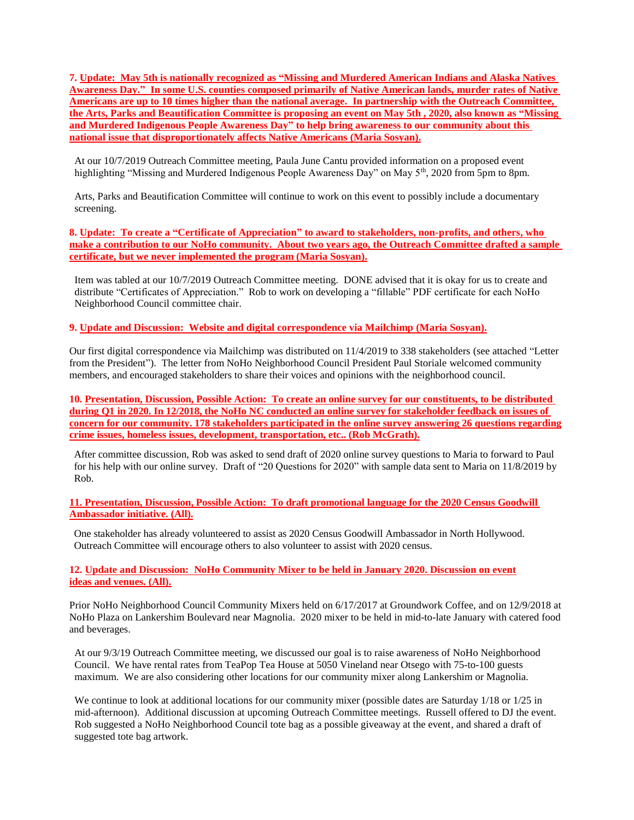**7. Update: May 5th is nationally recognized as "Missing and Murdered American Indians and Alaska Natives Awareness Day." In some U.S. counties composed primarily of Native American lands, murder rates of Native Americans are up to 10 times higher than the national average. In partnership with the Outreach Committee, the Arts, Parks and Beautification Committee is proposing an event on May 5th , 2020, also known as "Missing and Murdered Indigenous People Awareness Day" to help bring awareness to our community about this national issue that disproportionately affects Native Americans (Maria Sosyan).**

At our 10/7/2019 Outreach Committee meeting, Paula June Cantu provided information on a proposed event highlighting "Missing and Murdered Indigenous People Awareness Day" on May 5<sup>th</sup>, 2020 from 5pm to 8pm.

Arts, Parks and Beautification Committee will continue to work on this event to possibly include a documentary screening.

**8. Update: To create a "Certificate of Appreciation" to award to stakeholders, non-profits, and others, who make a contribution to our NoHo community. About two years ago, the Outreach Committee drafted a sample certificate, but we never implemented the program (Maria Sosyan).**

Item was tabled at our 10/7/2019 Outreach Committee meeting. DONE advised that it is okay for us to create and distribute "Certificates of Appreciation." Rob to work on developing a "fillable" PDF certificate for each NoHo Neighborhood Council committee chair.

**9. Update and Discussion: Website and digital correspondence via Mailchimp (Maria Sosyan).**

Our first digital correspondence via Mailchimp was distributed on 11/4/2019 to 338 stakeholders (see attached "Letter from the President"). The letter from NoHo Neighborhood Council President Paul Storiale welcomed community members, and encouraged stakeholders to share their voices and opinions with the neighborhood council.

**10. Presentation, Discussion, Possible Action: To create an online survey for our constituents, to be distributed during Q1 in 2020. In 12/2018, the NoHo NC conducted an online survey for stakeholder feedback on issues of concern for our community. 178 stakeholders participated in the online survey answering 26 questions regarding crime issues, homeless issues, development, transportation, etc.. (Rob McGrath).**

After committee discussion, Rob was asked to send draft of 2020 online survey questions to Maria to forward to Paul for his help with our online survey. Draft of "20 Questions for 2020" with sample data sent to Maria on 11/8/2019 by Rob.

**11. Presentation, Discussion, Possible Action: To draft promotional language for the 2020 Census Goodwill Ambassador initiative. (All).**

One stakeholder has already volunteered to assist as 2020 Census Goodwill Ambassador in North Hollywood. Outreach Committee will encourage others to also volunteer to assist with 2020 census.

**12. Update and Discussion: NoHo Community Mixer to be held in January 2020. Discussion on event ideas and venues. (All).**

Prior NoHo Neighborhood Council Community Mixers held on 6/17/2017 at Groundwork Coffee, and on 12/9/2018 at NoHo Plaza on Lankershim Boulevard near Magnolia. 2020 mixer to be held in mid-to-late January with catered food and beverages.

At our 9/3/19 Outreach Committee meeting, we discussed our goal is to raise awareness of NoHo Neighborhood Council. We have rental rates from TeaPop Tea House at 5050 Vineland near Otsego with 75-to-100 guests maximum. We are also considering other locations for our community mixer along Lankershim or Magnolia.

We continue to look at additional locations for our community mixer (possible dates are Saturday 1/18 or 1/25 in mid-afternoon). Additional discussion at upcoming Outreach Committee meetings. Russell offered to DJ the event. Rob suggested a NoHo Neighborhood Council tote bag as a possible giveaway at the event, and shared a draft of suggested tote bag artwork.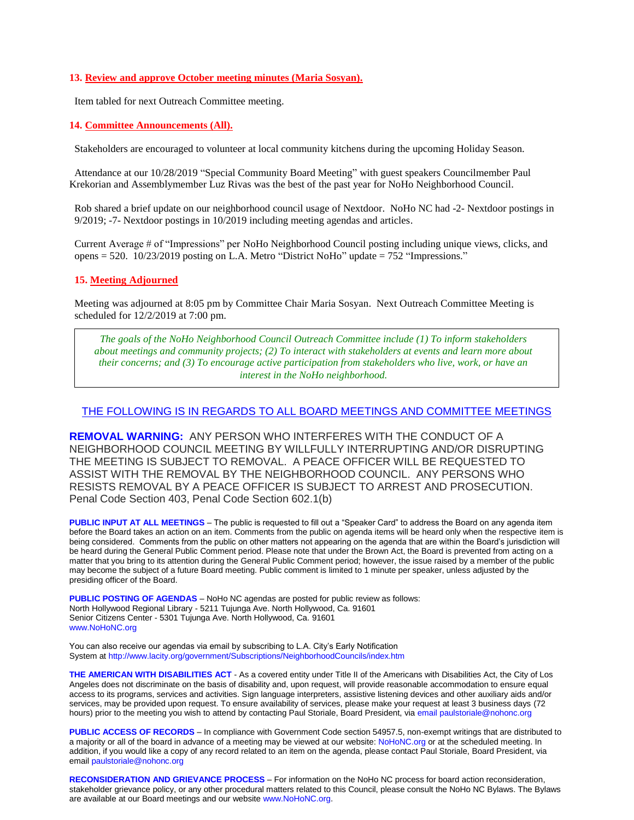#### **13. Review and approve October meeting minutes (Maria Sosyan).**

Item tabled for next Outreach Committee meeting.

#### **14. Committee Announcements (All).**

Stakeholders are encouraged to volunteer at local community kitchens during the upcoming Holiday Season.

Attendance at our 10/28/2019 "Special Community Board Meeting" with guest speakers Councilmember Paul Krekorian and Assemblymember Luz Rivas was the best of the past year for NoHo Neighborhood Council.

Rob shared a brief update on our neighborhood council usage of Nextdoor. NoHo NC had -2- Nextdoor postings in 9/2019; -7- Nextdoor postings in 10/2019 including meeting agendas and articles.

Current Average # of "Impressions" per NoHo Neighborhood Council posting including unique views, clicks, and opens = 520. 10/23/2019 posting on L.A. Metro "District NoHo" update = 752 "Impressions."

#### **15. Meeting Adjourned**

Meeting was adjourned at 8:05 pm by Committee Chair Maria Sosyan. Next Outreach Committee Meeting is scheduled for 12/2/2019 at 7:00 pm.

*The goals of the NoHo Neighborhood Council Outreach Committee include (1) To inform stakeholders about meetings and community projects; (2) To interact with stakeholders at events and learn more about their concerns; and (3) To encourage active participation from stakeholders who live, work, or have an interest in the NoHo neighborhood.*

#### THE FOLLOWING IS IN REGARDS TO ALL BOARD MEETINGS AND COMMITTEE MEETINGS

**REMOVAL WARNING:** ANY PERSON WHO INTERFERES WITH THE CONDUCT OF A NEIGHBORHOOD COUNCIL MEETING BY WILLFULLY INTERRUPTING AND/OR DISRUPTING THE MEETING IS SUBJECT TO REMOVAL. A PEACE OFFICER WILL BE REQUESTED TO ASSIST WITH THE REMOVAL BY THE NEIGHBORHOOD COUNCIL. ANY PERSONS WHO RESISTS REMOVAL BY A PEACE OFFICER IS SUBJECT TO ARREST AND PROSECUTION. Penal Code Section 403, Penal Code Section 602.1(b)

**PUBLIC INPUT AT ALL MEETINGS** – The public is requested to fill out a "Speaker Card" to address the Board on any agenda item before the Board takes an action on an item. Comments from the public on agenda items will be heard only when the respective item is being considered. Comments from the public on other matters not appearing on the agenda that are within the Board's jurisdiction will be heard during the General Public Comment period. Please note that under the Brown Act, the Board is prevented from acting on a matter that you bring to its attention during the General Public Comment period; however, the issue raised by a member of the public may become the subject of a future Board meeting. Public comment is limited to 1 minute per speaker, unless adjusted by the presiding officer of the Board.

**PUBLIC POSTING OF AGENDAS** – NoHo NC agendas are posted for public review as follows: North Hollywood Regional Library - 5211 Tujunga Ave. North Hollywood, Ca. 91601 Senior Citizens Center - 5301 Tujunga Ave. North Hollywood, Ca. 91601 www.NoHoNC.org

You can also receive our agendas via email by subscribing to L.A. City's Early Notification System at http://www.lacity.org/government/Subscriptions/NeighborhoodCouncils/index.htm

**THE AMERICAN WITH DISABILITIES ACT** - As a covered entity under Title II of the Americans with Disabilities Act, the City of Los Angeles does not discriminate on the basis of disability and, upon request, will provide reasonable accommodation to ensure equal access to its programs, services and activities. Sign language interpreters, assistive listening devices and other auxiliary aids and/or services, may be provided upon request. To ensure availability of services, please make your request at least 3 business days (72 hours) prior to the meeting you wish to attend by contacting Paul Storiale, Board President, via email paulstoriale@nohonc.org

**PUBLIC ACCESS OF RECORDS** – In compliance with Government Code section 54957.5, non-exempt writings that are distributed to a majority or all of the board in advance of a meeting may be viewed at our website: NoHoNC.org or at the scheduled meeting. In addition, if you would like a copy of any record related to an item on the agenda, please contact Paul Storiale, Board President, via email paulstoriale@nohonc.org

**RECONSIDERATION AND GRIEVANCE PROCESS** – For information on the NoHo NC process for board action reconsideration, stakeholder grievance policy, or any other procedural matters related to this Council, please consult the NoHo NC Bylaws. The Bylaws are available at our Board meetings and our website www.NoHoNC.org.